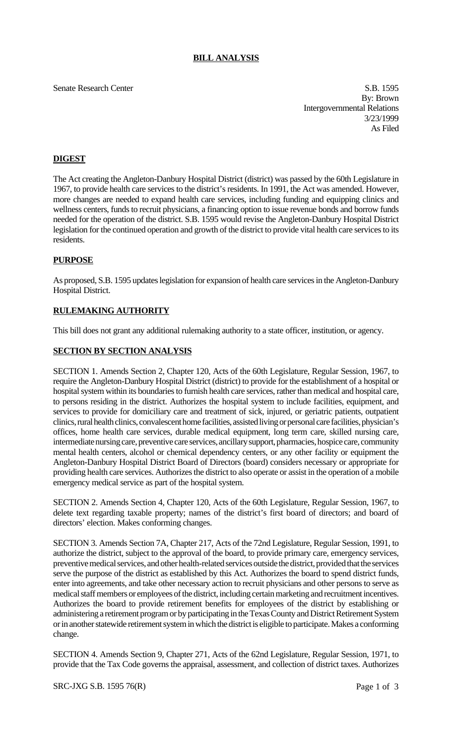## **BILL ANALYSIS**

Senate Research Center S.B. 1595 By: Brown Intergovernmental Relations 3/23/1999 As Filed

# **DIGEST**

The Act creating the Angleton-Danbury Hospital District (district) was passed by the 60th Legislature in 1967, to provide health care services to the district's residents. In 1991, the Act was amended. However, more changes are needed to expand health care services, including funding and equipping clinics and wellness centers, funds to recruit physicians, a financing option to issue revenue bonds and borrow funds needed for the operation of the district. S.B. 1595 would revise the Angleton-Danbury Hospital District legislation for the continued operation and growth of the district to provide vital health care services to its residents.

### **PURPOSE**

As proposed, S.B. 1595 updates legislation for expansion of health care services in the Angleton-Danbury Hospital District.

## **RULEMAKING AUTHORITY**

This bill does not grant any additional rulemaking authority to a state officer, institution, or agency.

### **SECTION BY SECTION ANALYSIS**

SECTION 1. Amends Section 2, Chapter 120, Acts of the 60th Legislature, Regular Session, 1967, to require the Angleton-Danbury Hospital District (district) to provide for the establishment of a hospital or hospital system within its boundaries to furnish health care services, rather than medical and hospital care, to persons residing in the district. Authorizes the hospital system to include facilities, equipment, and services to provide for domiciliary care and treatment of sick, injured, or geriatric patients, outpatient clinics, rural health clinics, convalescent home facilities, assisted living or personal care facilities, physician's offices, home health care services, durable medical equipment, long term care, skilled nursing care, intermediate nursing care, preventive care services, ancillary support, pharmacies, hospice care, community mental health centers, alcohol or chemical dependency centers, or any other facility or equipment the Angleton-Danbury Hospital District Board of Directors (board) considers necessary or appropriate for providing health care services. Authorizes the district to also operate or assist in the operation of a mobile emergency medical service as part of the hospital system.

SECTION 2. Amends Section 4, Chapter 120, Acts of the 60th Legislature, Regular Session, 1967, to delete text regarding taxable property; names of the district's first board of directors; and board of directors' election. Makes conforming changes.

SECTION 3. Amends Section 7A, Chapter 217, Acts of the 72nd Legislature, Regular Session, 1991, to authorize the district, subject to the approval of the board, to provide primary care, emergency services, preventive medical services, and other health-related services outside the district, provided that the services serve the purpose of the district as established by this Act. Authorizes the board to spend district funds, enter into agreements, and take other necessary action to recruit physicians and other persons to serve as medical staff members or employees of the district, including certain marketing and recruitment incentives. Authorizes the board to provide retirement benefits for employees of the district by establishing or administering a retirement program or by participating in the Texas County and District Retirement System or in another statewide retirement system in which the district is eligible to participate. Makes a conforming change.

SECTION 4. Amends Section 9, Chapter 271, Acts of the 62nd Legislature, Regular Session, 1971, to provide that the Tax Code governs the appraisal, assessment, and collection of district taxes. Authorizes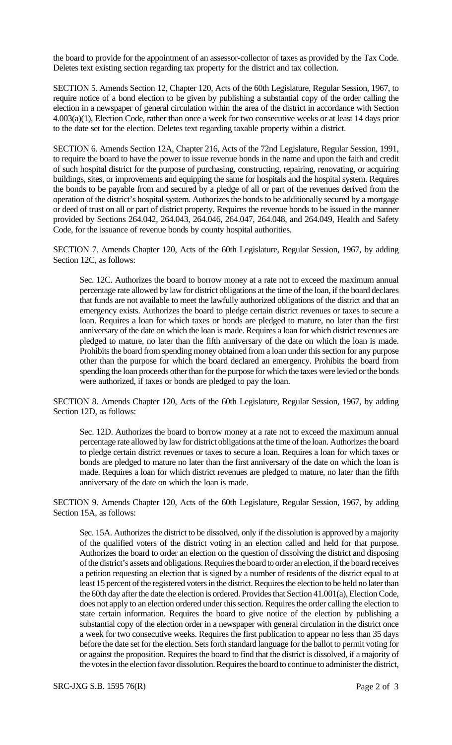the board to provide for the appointment of an assessor-collector of taxes as provided by the Tax Code. Deletes text existing section regarding tax property for the district and tax collection.

SECTION 5. Amends Section 12, Chapter 120, Acts of the 60th Legislature, Regular Session, 1967, to require notice of a bond election to be given by publishing a substantial copy of the order calling the election in a newspaper of general circulation within the area of the district in accordance with Section 4.003(a)(1), Election Code, rather than once a week for two consecutive weeks or at least 14 days prior to the date set for the election. Deletes text regarding taxable property within a district.

SECTION 6. Amends Section 12A, Chapter 216, Acts of the 72nd Legislature, Regular Session, 1991, to require the board to have the power to issue revenue bonds in the name and upon the faith and credit of such hospital district for the purpose of purchasing, constructing, repairing, renovating, or acquiring buildings, sites, or improvements and equipping the same for hospitals and the hospital system. Requires the bonds to be payable from and secured by a pledge of all or part of the revenues derived from the operation of the district's hospital system. Authorizes the bonds to be additionally secured by a mortgage or deed of trust on all or part of district property. Requires the revenue bonds to be issued in the manner provided by Sections 264.042, 264.043, 264.046, 264.047, 264.048, and 264.049, Health and Safety Code, for the issuance of revenue bonds by county hospital authorities.

SECTION 7. Amends Chapter 120, Acts of the 60th Legislature, Regular Session, 1967, by adding Section 12C, as follows:

Sec. 12C. Authorizes the board to borrow money at a rate not to exceed the maximum annual percentage rate allowed by law for district obligations at the time of the loan, if the board declares that funds are not available to meet the lawfully authorized obligations of the district and that an emergency exists. Authorizes the board to pledge certain district revenues or taxes to secure a loan. Requires a loan for which taxes or bonds are pledged to mature, no later than the first anniversary of the date on which the loan is made. Requires a loan for which district revenues are pledged to mature, no later than the fifth anniversary of the date on which the loan is made. Prohibits the board from spending money obtained from a loan under this section for any purpose other than the purpose for which the board declared an emergency. Prohibits the board from spending the loan proceeds other than for the purpose for which the taxes were levied or the bonds were authorized, if taxes or bonds are pledged to pay the loan.

SECTION 8. Amends Chapter 120, Acts of the 60th Legislature, Regular Session, 1967, by adding Section 12D, as follows:

Sec. 12D. Authorizes the board to borrow money at a rate not to exceed the maximum annual percentage rate allowed by law for district obligations at the time of the loan. Authorizes the board to pledge certain district revenues or taxes to secure a loan. Requires a loan for which taxes or bonds are pledged to mature no later than the first anniversary of the date on which the loan is made. Requires a loan for which district revenues are pledged to mature, no later than the fifth anniversary of the date on which the loan is made.

SECTION 9. Amends Chapter 120, Acts of the 60th Legislature, Regular Session, 1967, by adding Section 15A, as follows:

Sec. 15A. Authorizes the district to be dissolved, only if the dissolution is approved by a majority of the qualified voters of the district voting in an election called and held for that purpose. Authorizes the board to order an election on the question of dissolving the district and disposing of the district's assets and obligations. Requires the board to order an election, if the board receives a petition requesting an election that is signed by a number of residents of the district equal to at least 15 percent of the registered voters in the district. Requires the election to be held no later than the 60th day after the date the election is ordered. Provides that Section 41.001(a), Election Code, does not apply to an election ordered under this section. Requires the order calling the election to state certain information. Requires the board to give notice of the election by publishing a substantial copy of the election order in a newspaper with general circulation in the district once a week for two consecutive weeks. Requires the first publication to appear no less than 35 days before the date set for the election. Sets forth standard language for the ballot to permit voting for or against the proposition. Requires the board to find that the district is dissolved, if a majority of the votes in the election favor dissolution. Requires the board to continue to administer the district,